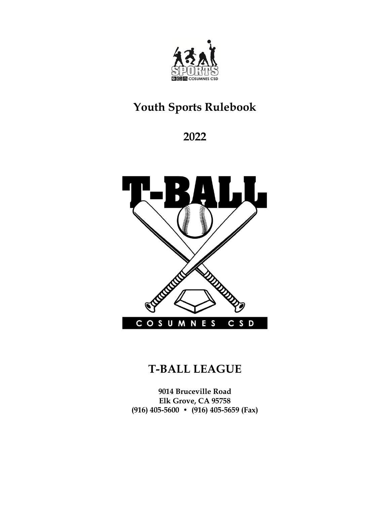

# **Youth Sports Rulebook**

**2022**



## **T-BALL LEAGUE**

**9014 Bruceville Road Elk Grove, CA 95758 (916) 405-5600 • (916) 405-5659 (Fax)**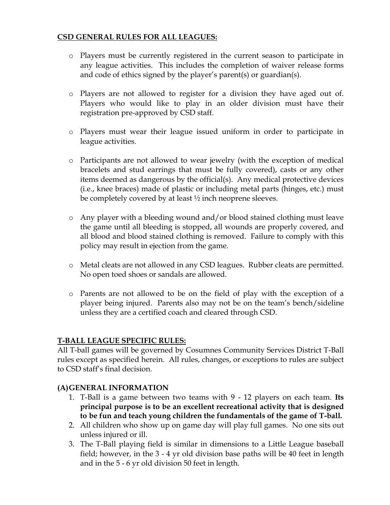#### **CSD GENERAL RULES FOR ALL LEAGUES:**

- o Players must be currently registered in the current season to participate in any league activities. This includes the completion of waiver release forms and code of ethics signed by the player's parent(s) or guardian(s).
- o Players are not allowed to register for a division they have aged out of. Players who would like to play in an older division must have their registration pre-approved by CSD staff.
- o Players must wear their league issued uniform in order to participate in league activities.
- o Participants are not allowed to wear jewelry (with the exception of medical bracelets and stud earrings that must be fully covered), casts or any other items deemed as dangerous by the official(s). Any medical protective devices (i.e., knee braces) made of plastic or including metal parts (hinges, etc.) must be completely covered by at least  $\frac{1}{2}$  inch neoprene sleeves.
- o Any player with a bleeding wound and/or blood stained clothing must leave the game until all bleeding is stopped, all wounds are properly covered, and all blood and blood stained clothing is removed. Failure to comply with this policy may result in ejection from the game.
- o Metal cleats are not allowed in any CSD leagues. Rubber cleats are permitted. No open toed shoes or sandals are allowed.
- o Parents are not allowed to be on the field of play with the exception of a player being injured. Parents also may not be on the team's bench/sideline unless they are a certified coach and cleared through CSD.

#### **T-BALL LEAGUE SPECIFIC RULES:**

All T-ball games will be governed by Cosumnes Community Services District T-Ball rules except as specified herein. All rules, changes, or exceptions to rules are subject to CSD staff's final decision.

#### **(A)GENERAL INFORMATION**

- 1. T-Ball is a game between two teams with 9 12 players on each team. **Its principal purpose is to be an excellent recreational activity that is designed to be fun and teach young children the fundamentals of the game of T-ball.**
- 2. All children who show up on game day will play full games. No one sits out unless injured or ill.
- 3. The T-Ball playing field is similar in dimensions to a Little League baseball field; however, in the 3 - 4 yr old division base paths will be 40 feet in length and in the 5 - 6 yr old division 50 feet in length.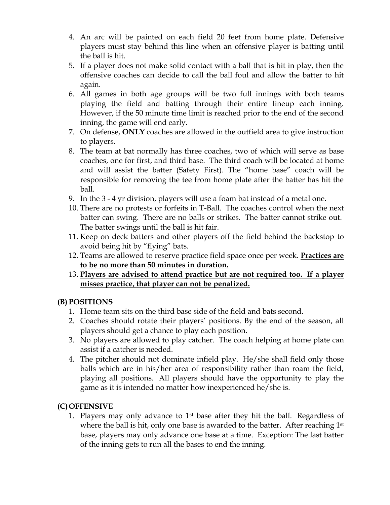- 4. An arc will be painted on each field 20 feet from home plate. Defensive players must stay behind this line when an offensive player is batting until the ball is hit.
- 5. If a player does not make solid contact with a ball that is hit in play, then the offensive coaches can decide to call the ball foul and allow the batter to hit again.
- 6. All games in both age groups will be two full innings with both teams playing the field and batting through their entire lineup each inning. However, if the 50 minute time limit is reached prior to the end of the second inning, the game will end early.
- 7. On defense, **ONLY** coaches are allowed in the outfield area to give instruction to players.
- 8. The team at bat normally has three coaches, two of which will serve as base coaches, one for first, and third base. The third coach will be located at home and will assist the batter (Safety First). The "home base" coach will be responsible for removing the tee from home plate after the batter has hit the ball.
- 9. In the 3 4 yr division, players will use a foam bat instead of a metal one.
- 10. There are no protests or forfeits in T-Ball. The coaches control when the next batter can swing. There are no balls or strikes. The batter cannot strike out. The batter swings until the ball is hit fair.
- 11. Keep on deck batters and other players off the field behind the backstop to avoid being hit by "flying" bats.
- 12. Teams are allowed to reserve practice field space once per week. **Practices are to be no more than 50 minutes in duration.**
- 13. **Players are advised to attend practice but are not required too. If a player misses practice, that player can not be penalized.**

#### **(B) POSITIONS**

- 1. Home team sits on the third base side of the field and bats second.
- 2. Coaches should rotate their players' positions. By the end of the season, all players should get a chance to play each position.
- 3. No players are allowed to play catcher. The coach helping at home plate can assist if a catcher is needed.
- 4. The pitcher should not dominate infield play. He/she shall field only those balls which are in his/her area of responsibility rather than roam the field, playing all positions. All players should have the opportunity to play the game as it is intended no matter how inexperienced he/she is.

### **(C)OFFENSIVE**

1. Players may only advance to  $1<sup>st</sup>$  base after they hit the ball. Regardless of where the ball is hit, only one base is awarded to the batter. After reaching  $1<sup>st</sup>$ base, players may only advance one base at a time. Exception: The last batter of the inning gets to run all the bases to end the inning.